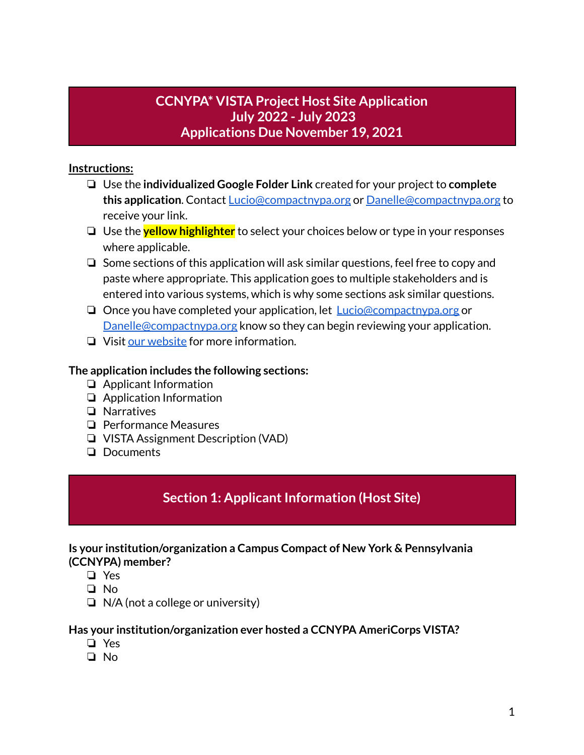## **CCNYPA\* VISTA Project Host Site Application July 2022 - July 2023 Applications Due November 19, 2021**

#### **Instructions:**

- ❏ Use the **individualized Google Folder Link** created for your project to **complete this application**. Contact [Lucio@compactnypa.org](mailto:Lucio@compactnypa.org) or [Danelle@compactnypa.org](mailto:Danelle@compactnypa.org) to receive your link.
- ❏ Use the **yellow highlighter** to select your choices below or type in your responses where applicable.
- ❏ Some sections of this application will ask similar questions, feel free to copy and paste where appropriate. This application goes to multiple stakeholders and is entered into various systems, which is why some sections ask similar questions.
- ❏ Once you have completed your application, let [Lucio@compactnypa.org](mailto:Lucio@compactnypa.org) or [Danelle@compactnypa.org](mailto:Danelle@compactnypa.org) know so they can begin reviewing your application.
- ❏ Visit our [website](http://www.compactnypa.org/americorps-vista.html) for more information.

#### **The application includes the following sections:**

- ❏ Applicant Information
- ❏ Application Information
- ❏ Narratives
- ❏ Performance Measures
- ❏ VISTA Assignment Description (VAD)
- ❏ Documents

## **Section 1: Applicant Information (Host Site)**

#### **Is your institution/organization a Campus Compact of New York & Pennsylvania (CCNYPA) member?**

- ❏ Yes
- ❏ No
- ❏ N/A (not a college or university)

#### **Has your institution/organization ever hosted a CCNYPA AmeriCorps VISTA?**

- ❏ Yes
- ❏ No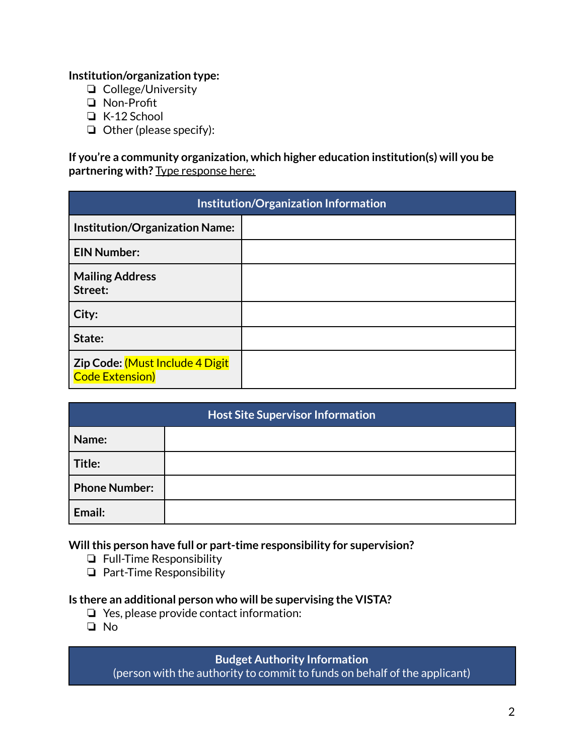#### **Institution/organization type:**

- ❏ College/University
- ❏ Non-Profit
- ❏ K-12 School
- ❏ Other (please specify):

**If you're a community organization, which higher education institution(s) will you be partnering with?** Type response here:

| Institution/Organization Information                      |  |
|-----------------------------------------------------------|--|
| <b>Institution/Organization Name:</b>                     |  |
| <b>EIN Number:</b>                                        |  |
| <b>Mailing Address</b><br>Street:                         |  |
| City:                                                     |  |
| State:                                                    |  |
| Zip Code: (Must Include 4 Digit<br><b>Code Extension)</b> |  |

| <b>Host Site Supervisor Information</b> |  |  |
|-----------------------------------------|--|--|
| Name:                                   |  |  |
| Title:                                  |  |  |
| <b>Phone Number:</b>                    |  |  |
| Email:                                  |  |  |

**Willthis person have full or part-time responsibility for supervision?**

- ❏ Full-Time Responsibility
- ❏ Part-Time Responsibility

#### **Is there an additional person who will be supervising the VISTA?**

- ❏ Yes, please provide contact information:
- ❏ No

#### **Budget Authority Information**

(person with the authority to commit to funds on behalf of the applicant)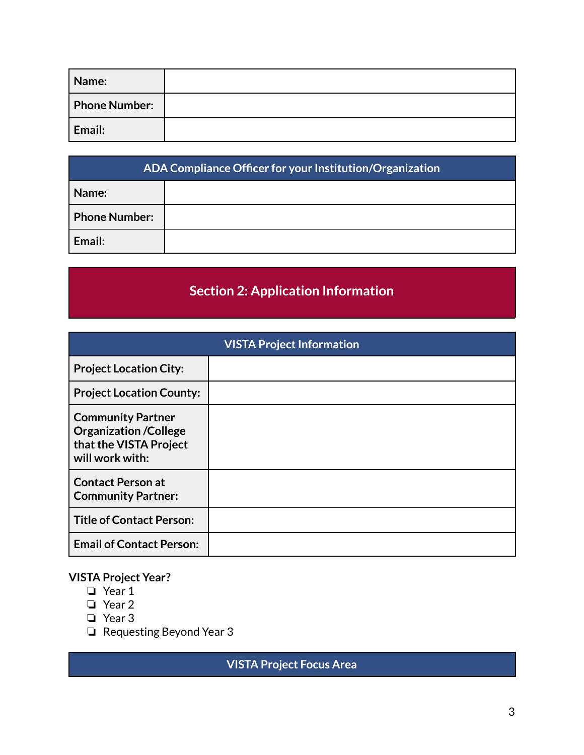| Name:                |  |
|----------------------|--|
| <b>Phone Number:</b> |  |
| Email:               |  |

| ADA Compliance Officer for your Institution/Organization |  |  |
|----------------------------------------------------------|--|--|
| Name:                                                    |  |  |
| <b>Phone Number:</b>                                     |  |  |
| Email:                                                   |  |  |

# **Section 2: Application Information**

| <b>VISTA Project Information</b>                                                                      |  |  |
|-------------------------------------------------------------------------------------------------------|--|--|
| <b>Project Location City:</b>                                                                         |  |  |
| <b>Project Location County:</b>                                                                       |  |  |
| <b>Community Partner</b><br><b>Organization /College</b><br>that the VISTA Project<br>will work with: |  |  |
| <b>Contact Person at</b><br><b>Community Partner:</b>                                                 |  |  |
| <b>Title of Contact Person:</b>                                                                       |  |  |
| <b>Email of Contact Person:</b>                                                                       |  |  |

## **VISTA Project Year?**

- ❏ Year 1
- ❏ Year 2
- ❏ Year 3
- ❏ Requesting Beyond Year 3

## **VISTA Project Focus Area**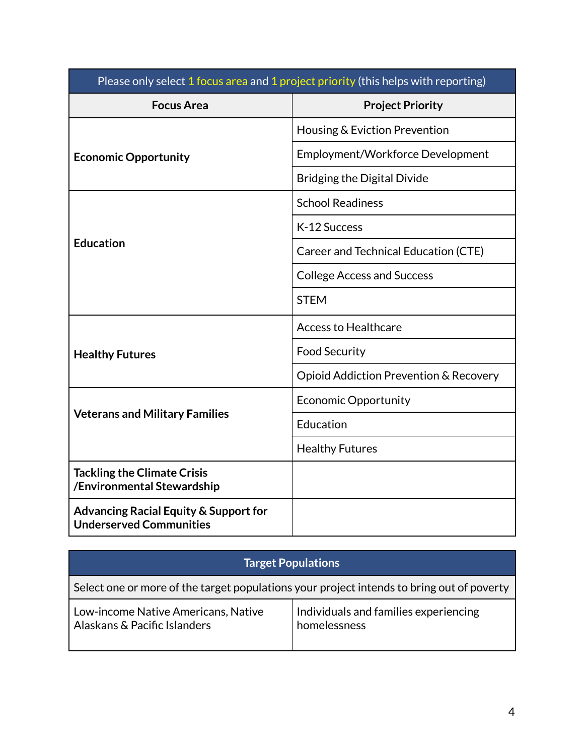| Please only select 1 focus area and 1 project priority (this helps with reporting) |                                        |
|------------------------------------------------------------------------------------|----------------------------------------|
| <b>Focus Area</b>                                                                  | <b>Project Priority</b>                |
|                                                                                    | Housing & Eviction Prevention          |
| <b>Economic Opportunity</b>                                                        | Employment/Workforce Development       |
|                                                                                    | <b>Bridging the Digital Divide</b>     |
|                                                                                    | <b>School Readiness</b>                |
|                                                                                    | K-12 Success                           |
| <b>Education</b>                                                                   | Career and Technical Education (CTE)   |
|                                                                                    | <b>College Access and Success</b>      |
|                                                                                    | <b>STEM</b>                            |
|                                                                                    | <b>Access to Healthcare</b>            |
| <b>Healthy Futures</b>                                                             | <b>Food Security</b>                   |
|                                                                                    | Opioid Addiction Prevention & Recovery |
|                                                                                    | <b>Economic Opportunity</b>            |
| <b>Veterans and Military Families</b>                                              | Education                              |
|                                                                                    | <b>Healthy Futures</b>                 |
| <b>Tackling the Climate Crisis</b><br>/Environmental Stewardship                   |                                        |
| <b>Advancing Racial Equity &amp; Support for</b><br><b>Underserved Communities</b> |                                        |

| <b>Target Populations</b>                                                                 |                                                       |  |
|-------------------------------------------------------------------------------------------|-------------------------------------------------------|--|
| Select one or more of the target populations your project intends to bring out of poverty |                                                       |  |
| Low-income Native Americans, Native<br>Alaskans & Pacific Islanders                       | Individuals and families experiencing<br>homelessness |  |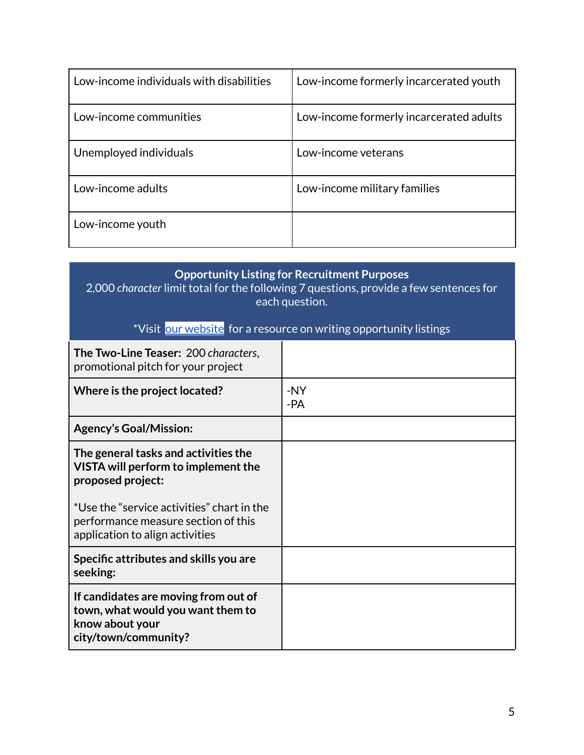| Low-income individuals with disabilities | Low-income formerly incarcerated youth  |
|------------------------------------------|-----------------------------------------|
| Low-income communities                   | Low-income formerly incarcerated adults |
| Unemployed individuals                   | Low-income veterans                     |
| Low-income adults                        | Low-income military families            |
| Low-income youth                         |                                         |

## **Opportunity Listing for Recruitment Purposes**

2,000 *character* limit total for the following 7 questions, provide a few sentences for each question.

## \*Visit our [website](http://www.compactnypa.org/americorps-vista.html) for a resource on writing opportunity listings

| The Two-Line Teaser: 200 characters,<br>promotional pitch for your project                                           |            |
|----------------------------------------------------------------------------------------------------------------------|------------|
| Where is the project located?                                                                                        | -NY<br>-PA |
| <b>Agency's Goal/Mission:</b>                                                                                        |            |
| The general tasks and activities the<br>VISTA will perform to implement the<br>proposed project:                     |            |
| *Use the "service activities" chart in the<br>performance measure section of this<br>application to align activities |            |
| Specific attributes and skills you are<br>seeking:                                                                   |            |
| If candidates are moving from out of<br>town, what would you want them to<br>know about your<br>city/town/community? |            |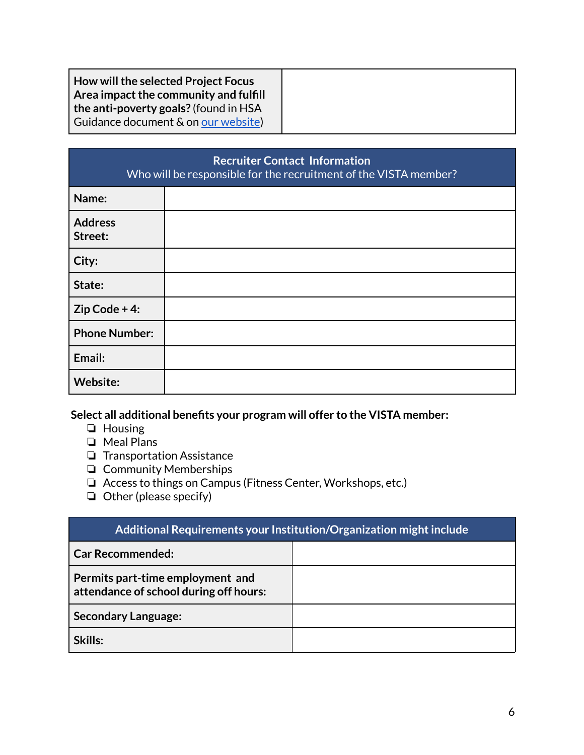| How will the selected Project Focus<br>Area impact the community and fulfill<br>the anti-poverty goals? (found in HSA |  |
|-----------------------------------------------------------------------------------------------------------------------|--|
| Guidance document & on our website)                                                                                   |  |

| <b>Recruiter Contact Information</b><br>Who will be responsible for the recruitment of the VISTA member? |  |  |
|----------------------------------------------------------------------------------------------------------|--|--|
| Name:                                                                                                    |  |  |
| <b>Address</b><br>Street:                                                                                |  |  |
| City:                                                                                                    |  |  |
| State:                                                                                                   |  |  |
| $Zip Code + 4:$                                                                                          |  |  |
| <b>Phone Number:</b>                                                                                     |  |  |
| Email:                                                                                                   |  |  |
| Website:                                                                                                 |  |  |

**Select all additional benefits your program will offer to the VISTA member:**

- ❏ Housing
- ❏ Meal Plans
- ❏ Transportation Assistance
- ❏ Community Memberships
- ❏ Access to things on Campus (Fitness Center, Workshops, etc.)
- ❏ Other (please specify)

| Additional Requirements your Institution/Organization might include        |  |
|----------------------------------------------------------------------------|--|
| <b>Car Recommended:</b>                                                    |  |
| Permits part-time employment and<br>attendance of school during off hours: |  |
| <b>Secondary Language:</b>                                                 |  |
| Skills:                                                                    |  |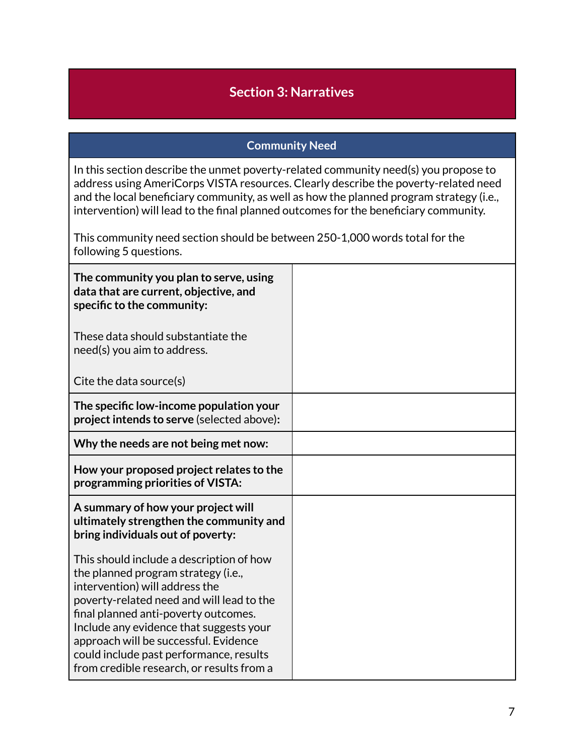## **Section 3: Narratives**

#### **Community Need**

In this section describe the unmet poverty-related community need(s) you propose to address using AmeriCorps VISTA resources. Clearly describe the poverty-related need and the local beneficiary community, as well as how the planned program strategy (i.e., intervention) will lead to the final planned outcomes for the beneficiary community.

This community need section should be between 250-1,000 words total for the following 5 questions.

| The community you plan to serve, using<br>data that are current, objective, and<br>specific to the community:                                                                                                                                                                                                                                                                      |  |
|------------------------------------------------------------------------------------------------------------------------------------------------------------------------------------------------------------------------------------------------------------------------------------------------------------------------------------------------------------------------------------|--|
| These data should substantiate the<br>need(s) you aim to address.                                                                                                                                                                                                                                                                                                                  |  |
| Cite the data source(s)                                                                                                                                                                                                                                                                                                                                                            |  |
| The specific low-income population your<br>project intends to serve (selected above):                                                                                                                                                                                                                                                                                              |  |
| Why the needs are not being met now:                                                                                                                                                                                                                                                                                                                                               |  |
| How your proposed project relates to the<br>programming priorities of VISTA:                                                                                                                                                                                                                                                                                                       |  |
| A summary of how your project will<br>ultimately strengthen the community and<br>bring individuals out of poverty:                                                                                                                                                                                                                                                                 |  |
| This should include a description of how<br>the planned program strategy (i.e.,<br>intervention) will address the<br>poverty-related need and will lead to the<br>final planned anti-poverty outcomes.<br>Include any evidence that suggests your<br>approach will be successful. Evidence<br>could include past performance, results<br>from credible research, or results from a |  |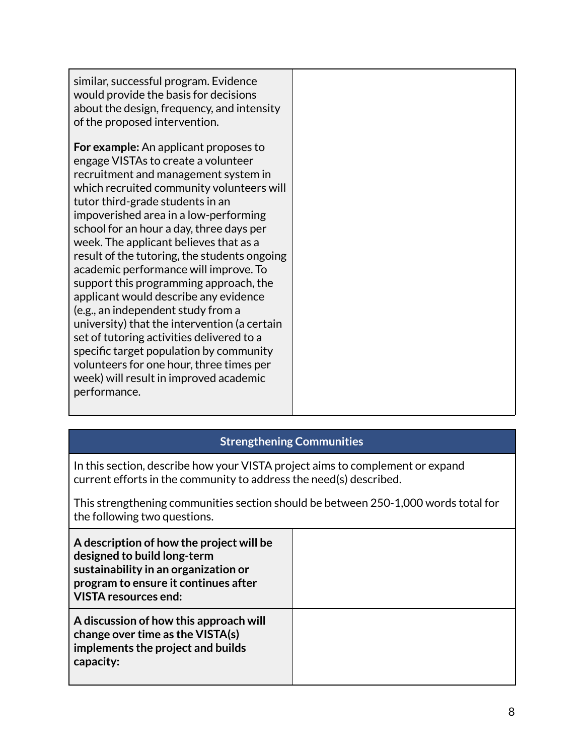| similar, successful program. Evidence<br>would provide the basis for decisions<br>about the design, frequency, and intensity<br>of the proposed intervention.                                                                                                                                                                                                                                                                                                                                                                                                                                                                                                                                                                                                                                               |  |
|-------------------------------------------------------------------------------------------------------------------------------------------------------------------------------------------------------------------------------------------------------------------------------------------------------------------------------------------------------------------------------------------------------------------------------------------------------------------------------------------------------------------------------------------------------------------------------------------------------------------------------------------------------------------------------------------------------------------------------------------------------------------------------------------------------------|--|
| <b>For example:</b> An applicant proposes to<br>engage VISTAs to create a volunteer<br>recruitment and management system in<br>which recruited community volunteers will<br>tutor third-grade students in an<br>impoverished area in a low-performing<br>school for an hour a day, three days per<br>week. The applicant believes that as a<br>result of the tutoring, the students ongoing<br>academic performance will improve. To<br>support this programming approach, the<br>applicant would describe any evidence<br>(e.g., an independent study from a<br>university) that the intervention (a certain<br>set of tutoring activities delivered to a<br>specific target population by community<br>volunteers for one hour, three times per<br>week) will result in improved academic<br>performance. |  |

## **Strengthening Communities**

In this section, describe how your VISTA project aims to complement or expand current efforts in the community to address the need(s) described.

This strengthening communities section should be between 250-1,000 words total for the following two questions.

| A description of how the project will be<br>designed to build long-term<br>sustainability in an organization or<br>program to ensure it continues after<br><b>VISTA resources end:</b> |  |
|----------------------------------------------------------------------------------------------------------------------------------------------------------------------------------------|--|
| A discussion of how this approach will<br>change over time as the VISTA(s)<br>implements the project and builds<br>capacity:                                                           |  |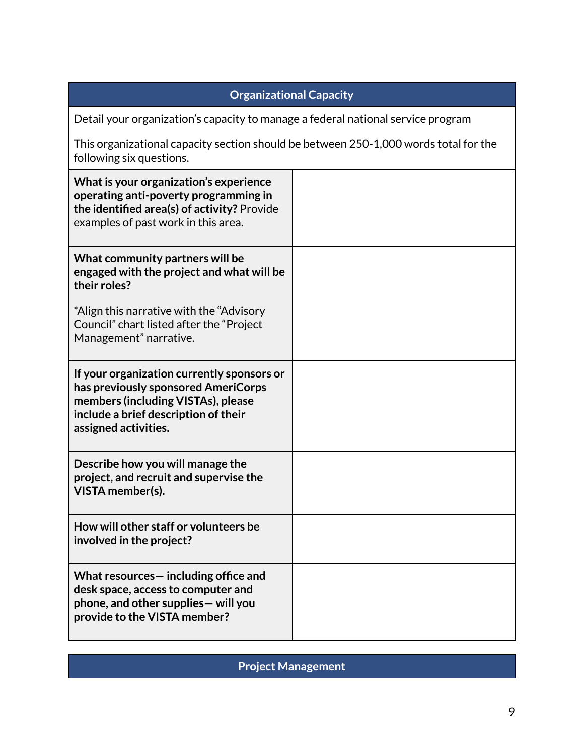### **Organizational Capacity**

Detail your organization's capacity to manage a federal national service program

This organizational capacity section should be between 250-1,000 words total for the following six questions.

| What is your organization's experience<br>operating anti-poverty programming in<br>the identified area(s) of activity? Provide<br>examples of past work in this area.                   |  |
|-----------------------------------------------------------------------------------------------------------------------------------------------------------------------------------------|--|
| What community partners will be<br>engaged with the project and what will be<br>their roles?                                                                                            |  |
| *Align this narrative with the "Advisory<br>Council" chart listed after the "Project<br>Management" narrative.                                                                          |  |
| If your organization currently sponsors or<br>has previously sponsored AmeriCorps<br>members (including VISTAs), please<br>include a brief description of their<br>assigned activities. |  |
| Describe how you will manage the<br>project, and recruit and supervise the<br>VISTA member(s).                                                                                          |  |
| How will other staff or volunteers be<br>involved in the project?                                                                                                                       |  |
| What resources - including office and<br>desk space, access to computer and<br>phone, and other supplies - will you<br>provide to the VISTA member?                                     |  |

**Project Management**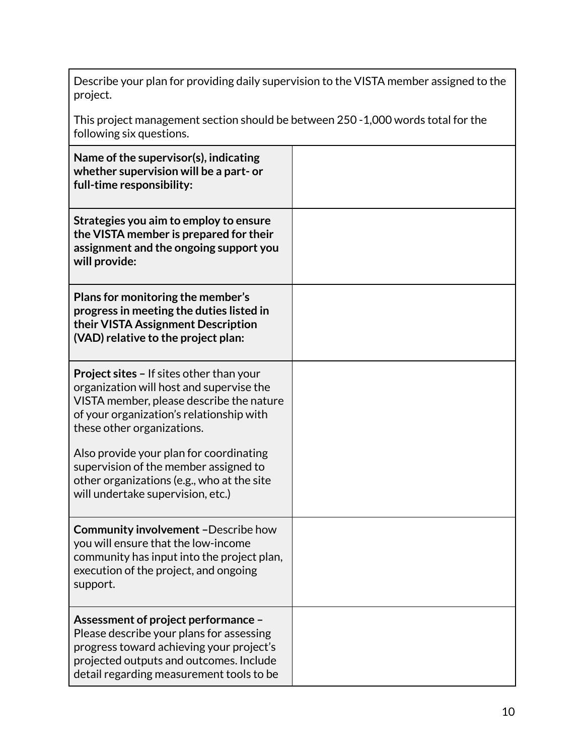Describe your plan for providing daily supervision to the VISTA member assigned to the project.

This project management section should be between 250 -1,000 words total for the following six questions.

| Name of the supervisor(s), indicating<br>whether supervision will be a part- or<br>full-time responsibility:                                                                                                                                                                                                                                                                             |  |
|------------------------------------------------------------------------------------------------------------------------------------------------------------------------------------------------------------------------------------------------------------------------------------------------------------------------------------------------------------------------------------------|--|
| Strategies you aim to employ to ensure<br>the VISTA member is prepared for their<br>assignment and the ongoing support you<br>will provide:                                                                                                                                                                                                                                              |  |
| Plans for monitoring the member's<br>progress in meeting the duties listed in<br>their VISTA Assignment Description<br>(VAD) relative to the project plan:                                                                                                                                                                                                                               |  |
| <b>Project sites - If sites other than your</b><br>organization will host and supervise the<br>VISTA member, please describe the nature<br>of your organization's relationship with<br>these other organizations.<br>Also provide your plan for coordinating<br>supervision of the member assigned to<br>other organizations (e.g., who at the site<br>will undertake supervision, etc.) |  |
| <b>Community involvement -Describe how</b><br>you will ensure that the low-income<br>community has input into the project plan,<br>execution of the project, and ongoing<br>support.                                                                                                                                                                                                     |  |
| Assessment of project performance -<br>Please describe your plans for assessing<br>progress toward achieving your project's<br>projected outputs and outcomes. Include<br>detail regarding measurement tools to be                                                                                                                                                                       |  |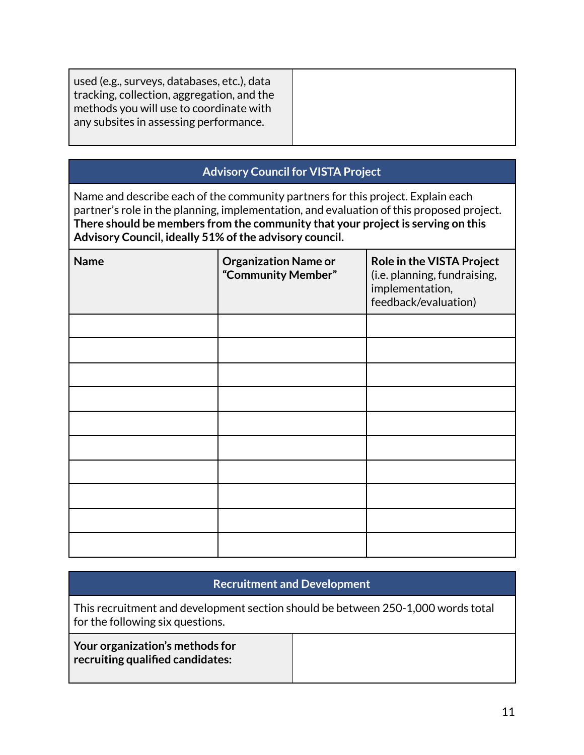| used (e.g., surveys, databases, etc.), data<br>tracking, collection, aggregation, and the<br>methods you will use to coordinate with<br>any subsites in assessing performance. |  |
|--------------------------------------------------------------------------------------------------------------------------------------------------------------------------------|--|
|                                                                                                                                                                                |  |

### **Advisory Council for VISTA Project**

Name and describe each of the community partners for this project. Explain each partner's role in the planning, implementation, and evaluation of this proposed project. **There should be members from the community that your projectis serving on this Advisory Council, ideally 51% ofthe advisory council.**

| <b>Name</b> | <b>Organization Name or</b><br>"Community Member" | Role in the VISTA Project<br>(i.e. planning, fundraising,<br>implementation,<br>feedback/evaluation) |
|-------------|---------------------------------------------------|------------------------------------------------------------------------------------------------------|
|             |                                                   |                                                                                                      |
|             |                                                   |                                                                                                      |
|             |                                                   |                                                                                                      |
|             |                                                   |                                                                                                      |
|             |                                                   |                                                                                                      |
|             |                                                   |                                                                                                      |
|             |                                                   |                                                                                                      |
|             |                                                   |                                                                                                      |
|             |                                                   |                                                                                                      |
|             |                                                   |                                                                                                      |

## **Recruitment and Development**

This recruitment and development section should be between 250-1,000 words total for the following six questions.

| Your organization's methods for  |  |
|----------------------------------|--|
| recruiting qualified candidates: |  |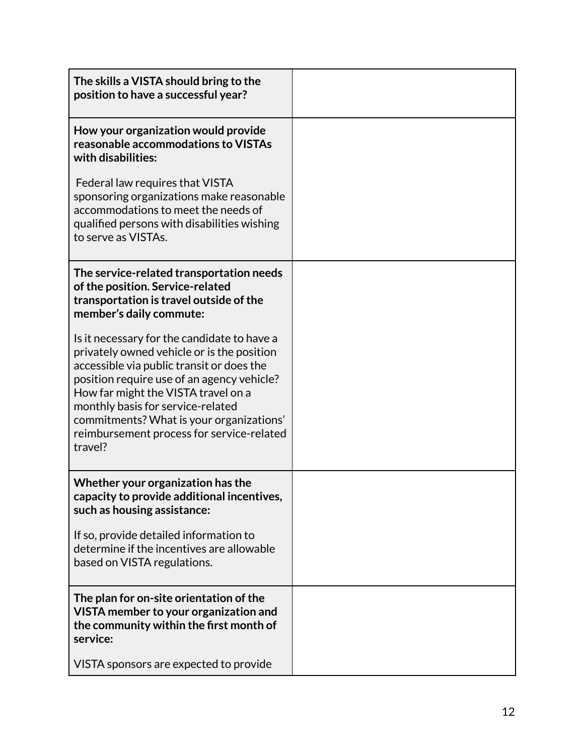| The skills a VISTA should bring to the<br>position to have a successful year?                                                                                                                                                                                                                                                                                        |  |
|----------------------------------------------------------------------------------------------------------------------------------------------------------------------------------------------------------------------------------------------------------------------------------------------------------------------------------------------------------------------|--|
| How your organization would provide<br>reasonable accommodations to VISTAs<br>with disabilities:                                                                                                                                                                                                                                                                     |  |
| Federal law requires that VISTA<br>sponsoring organizations make reasonable<br>accommodations to meet the needs of<br>qualified persons with disabilities wishing<br>to serve as VISTAs.                                                                                                                                                                             |  |
| The service-related transportation needs<br>of the position. Service-related<br>transportation is travel outside of the<br>member's daily commute:                                                                                                                                                                                                                   |  |
| Is it necessary for the candidate to have a<br>privately owned vehicle or is the position<br>accessible via public transit or does the<br>position require use of an agency vehicle?<br>How far might the VISTA travel on a<br>monthly basis for service-related<br>commitments? What is your organizations'<br>reimbursement process for service-related<br>travel? |  |
| Whether your organization has the<br>capacity to provide additional incentives,<br>such as housing assistance:                                                                                                                                                                                                                                                       |  |
| If so, provide detailed information to<br>determine if the incentives are allowable<br>based on VISTA regulations.                                                                                                                                                                                                                                                   |  |
| The plan for on-site orientation of the<br>VISTA member to your organization and<br>the community within the first month of<br>service:                                                                                                                                                                                                                              |  |
| VISTA sponsors are expected to provide                                                                                                                                                                                                                                                                                                                               |  |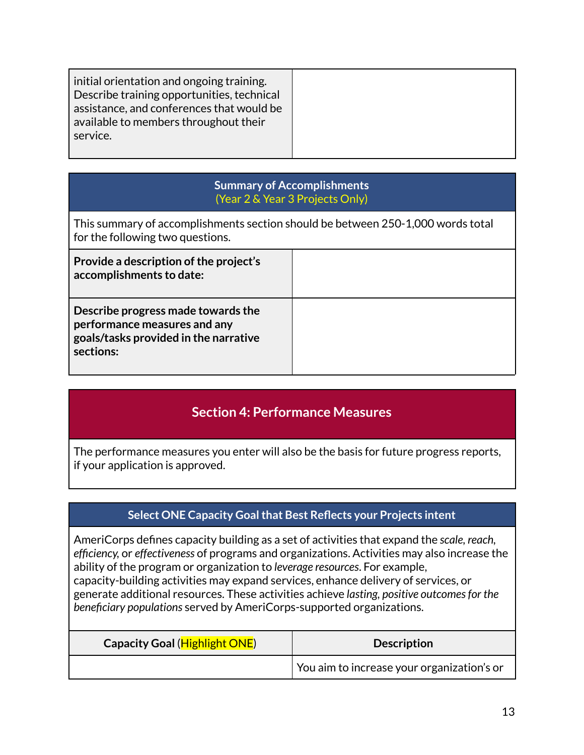#### **Summary of Accomplishments** (Year 2 & Year 3 Projects Only)

This summary of accomplishments section should be between 250-1,000 words total for the following two questions.

| Provide a description of the project's<br>accomplishments to date:                                                       |  |
|--------------------------------------------------------------------------------------------------------------------------|--|
| Describe progress made towards the<br>performance measures and any<br>goals/tasks provided in the narrative<br>sections: |  |

## **Section 4: Performance Measures**

The performance measures you enter will also be the basis for future progress reports, if your application is approved.

## **Select ONE Capacity Goalthat Best Reflects your Projects intent**

AmeriCorps defines capacity building as a set of activities that expand the *scale, reach, efficiency,* or *effectiveness* of programs and organizations. Activities may also increase the ability of the program or organization to *leverage resources*. For example, capacity-building activities may expand services, enhance delivery of services, or generate additional resources. These activities achieve *lasting, positive outcomesfor the beneficiary populations* served by AmeriCorps-supported organizations.

| Capacity Goal (Highlight ONE) | <b>Description</b>                                |
|-------------------------------|---------------------------------------------------|
|                               | $\mid$ You aim to increase your organization's or |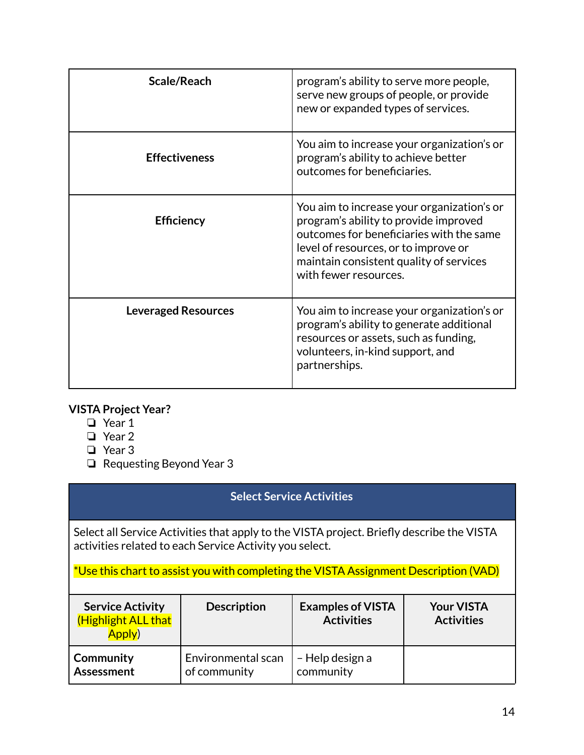| Scale/Reach                | program's ability to serve more people,<br>serve new groups of people, or provide<br>new or expanded types of services.                                                                                                                     |
|----------------------------|---------------------------------------------------------------------------------------------------------------------------------------------------------------------------------------------------------------------------------------------|
| <b>Effectiveness</b>       | You aim to increase your organization's or<br>program's ability to achieve better<br>outcomes for beneficiaries.                                                                                                                            |
| <b>Efficiency</b>          | You aim to increase your organization's or<br>program's ability to provide improved<br>outcomes for beneficiaries with the same<br>level of resources, or to improve or<br>maintain consistent quality of services<br>with fewer resources. |
| <b>Leveraged Resources</b> | You aim to increase your organization's or<br>program's ability to generate additional<br>resources or assets, such as funding,<br>volunteers, in-kind support, and<br>partnerships.                                                        |

#### **VISTA Project Year?**

- ❏ Year 1
- ❏ Year 2
- ❏ Year 3
- ❏ Requesting Beyond Year 3

### **Select Service Activities**

Select all Service Activities that apply to the VISTA project. Briefly describe the VISTA activities related to each Service Activity you select.

\*Use this chart to assist you with completing the VISTA Assignment Description (VAD)

| <b>Service Activity</b><br>(Highlight ALL that<br>Apply) | <b>Description</b> | <b>Examples of VISTA</b><br><b>Activities</b> | <b>Your VISTA</b><br><b>Activities</b> |
|----------------------------------------------------------|--------------------|-----------------------------------------------|----------------------------------------|
| <b>Community</b>                                         | Environmental scan | - Help design a                               |                                        |
| Assessment                                               | of community       | community                                     |                                        |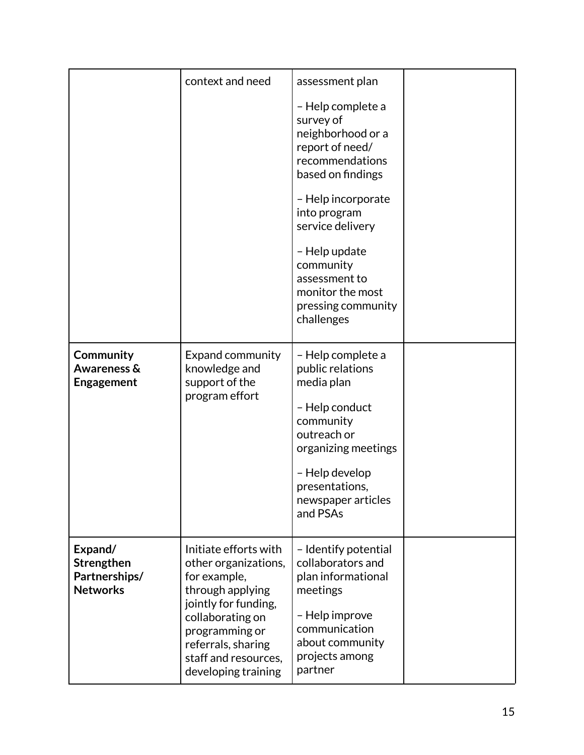|                                                           | context and need                                                                                                                                                                                                     | assessment plan<br>- Help complete a<br>survey of<br>neighborhood or a<br>report of need/<br>recommendations<br>based on findings<br>- Help incorporate<br>into program<br>service delivery<br>- Help update<br>community<br>assessment to |  |
|-----------------------------------------------------------|----------------------------------------------------------------------------------------------------------------------------------------------------------------------------------------------------------------------|--------------------------------------------------------------------------------------------------------------------------------------------------------------------------------------------------------------------------------------------|--|
|                                                           |                                                                                                                                                                                                                      | monitor the most<br>pressing community<br>challenges                                                                                                                                                                                       |  |
| Community<br><b>Awareness &amp;</b><br><b>Engagement</b>  | <b>Expand community</b><br>knowledge and<br>support of the<br>program effort                                                                                                                                         | - Help complete a<br>public relations<br>media plan<br>- Help conduct<br>community<br>outreach or<br>organizing meetings<br>- Help develop<br>presentations,<br>newspaper articles<br>and PSAs                                             |  |
| Expand/<br>Strengthen<br>Partnerships/<br><b>Networks</b> | Initiate efforts with<br>other organizations,<br>for example,<br>through applying<br>jointly for funding,<br>collaborating on<br>programming or<br>referrals, sharing<br>staff and resources,<br>developing training | - Identify potential<br>collaborators and<br>plan informational<br>meetings<br>- Help improve<br>communication<br>about community<br>projects among<br>partner                                                                             |  |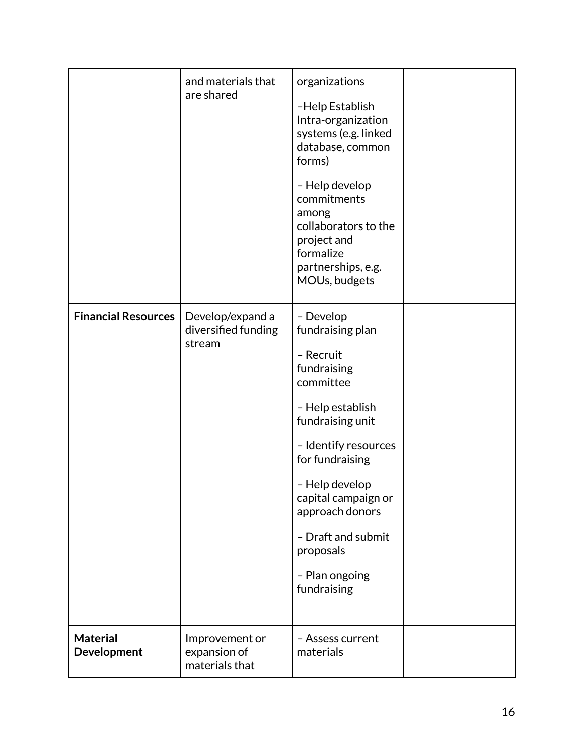|                                | and materials that<br>are shared                  | organizations<br>-Help Establish<br>Intra-organization<br>systems (e.g. linked<br>database, common<br>forms)<br>- Help develop<br>commitments<br>among<br>collaborators to the<br>project and<br>formalize<br>partnerships, e.g.<br>MOUs, budgets                                         |  |
|--------------------------------|---------------------------------------------------|-------------------------------------------------------------------------------------------------------------------------------------------------------------------------------------------------------------------------------------------------------------------------------------------|--|
| <b>Financial Resources</b>     | Develop/expand a<br>diversified funding<br>stream | - Develop<br>fundraising plan<br>- Recruit<br>fundraising<br>committee<br>- Help establish<br>fundraising unit<br>- Identify resources<br>for fundraising<br>- Help develop<br>capital campaign or<br>approach donors<br>- Draft and submit<br>proposals<br>- Plan ongoing<br>fundraising |  |
| <b>Material</b><br>Development | Improvement or<br>expansion of<br>materials that  | - Assess current<br>materials                                                                                                                                                                                                                                                             |  |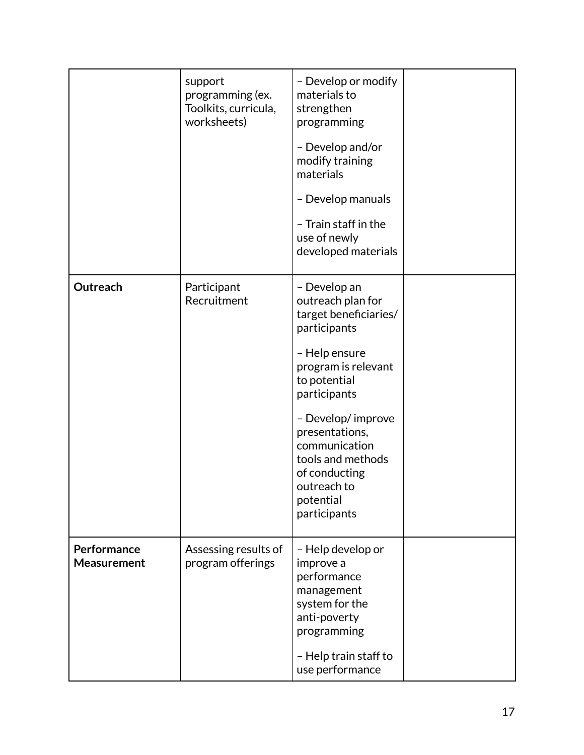|                                   | support<br>programming (ex.<br>Toolkits, curricula,<br>worksheets) | - Develop or modify<br>materials to<br>strengthen<br>programming<br>- Develop and/or<br>modify training<br>materials<br>- Develop manuals<br>- Train staff in the<br>use of newly<br>developed materials                                                                                     |  |
|-----------------------------------|--------------------------------------------------------------------|----------------------------------------------------------------------------------------------------------------------------------------------------------------------------------------------------------------------------------------------------------------------------------------------|--|
| Outreach                          | Participant<br>Recruitment                                         | - Develop an<br>outreach plan for<br>target beneficiaries/<br>participants<br>- Help ensure<br>program is relevant<br>to potential<br>participants<br>- Develop/improve<br>presentations,<br>communication<br>tools and methods<br>of conducting<br>outreach to<br>potential<br>participants |  |
| Performance<br><b>Measurement</b> | Assessing results of<br>program offerings                          | - Help develop or<br>improve a<br>performance<br>management<br>system for the<br>anti-poverty<br>programming<br>- Help train staff to<br>use performance                                                                                                                                     |  |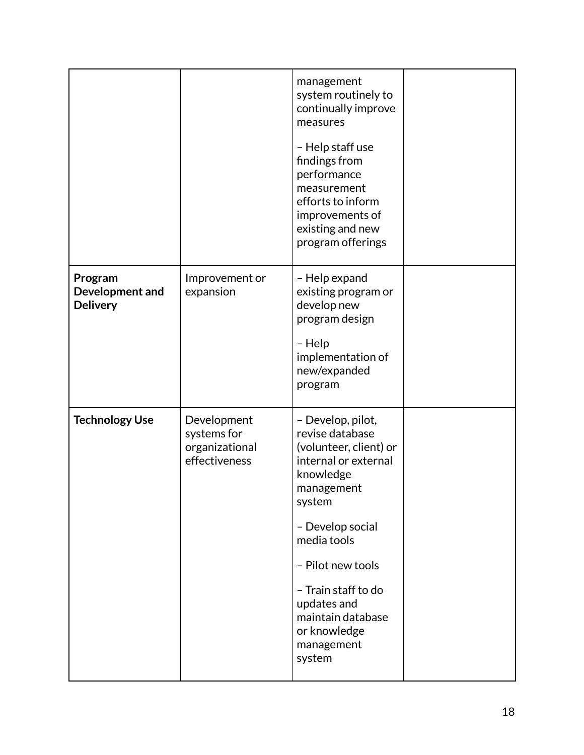|                                               |                                                               | management<br>system routinely to<br>continually improve<br>measures<br>- Help staff use<br>findings from<br>performance<br>measurement<br>efforts to inform<br>improvements of<br>existing and new<br>program offerings                                                               |  |
|-----------------------------------------------|---------------------------------------------------------------|----------------------------------------------------------------------------------------------------------------------------------------------------------------------------------------------------------------------------------------------------------------------------------------|--|
| Program<br>Development and<br><b>Delivery</b> | Improvement or<br>expansion                                   | - Help expand<br>existing program or<br>develop new<br>program design<br>- Help<br>implementation of<br>new/expanded<br>program                                                                                                                                                        |  |
| <b>Technology Use</b>                         | Development<br>systems for<br>organizational<br>effectiveness | - Develop, pilot,<br>revise database<br>(volunteer, client) or<br>internal or external<br>knowledge<br>management<br>system<br>- Develop social<br>media tools<br>- Pilot new tools<br>- Train staff to do<br>updates and<br>maintain database<br>or knowledge<br>management<br>system |  |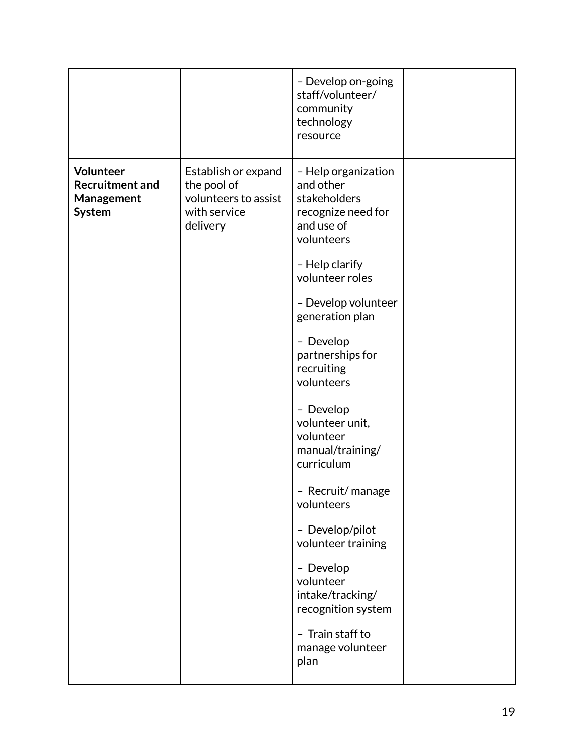|                                                             |                                                                                        | - Develop on-going<br>staff/volunteer/<br>community<br>technology<br>resource                      |  |
|-------------------------------------------------------------|----------------------------------------------------------------------------------------|----------------------------------------------------------------------------------------------------|--|
| Volunteer<br><b>Recruitment and</b><br>Management<br>System | Establish or expand<br>the pool of<br>volunteers to assist<br>with service<br>delivery | - Help organization<br>and other<br>stakeholders<br>recognize need for<br>and use of<br>volunteers |  |
|                                                             |                                                                                        | - Help clarify<br>volunteer roles                                                                  |  |
|                                                             |                                                                                        | - Develop volunteer<br>generation plan                                                             |  |
|                                                             |                                                                                        | - Develop<br>partnerships for<br>recruiting<br>volunteers                                          |  |
|                                                             |                                                                                        | - Develop<br>volunteer unit,<br>volunteer<br>manual/training/<br>curriculum                        |  |
|                                                             |                                                                                        | - Recruit/manage<br>volunteers                                                                     |  |
|                                                             |                                                                                        | - Develop/pilot<br>volunteer training                                                              |  |
|                                                             |                                                                                        | - Develop<br>volunteer<br>intake/tracking/<br>recognition system                                   |  |
|                                                             |                                                                                        | - Train staff to<br>manage volunteer<br>plan                                                       |  |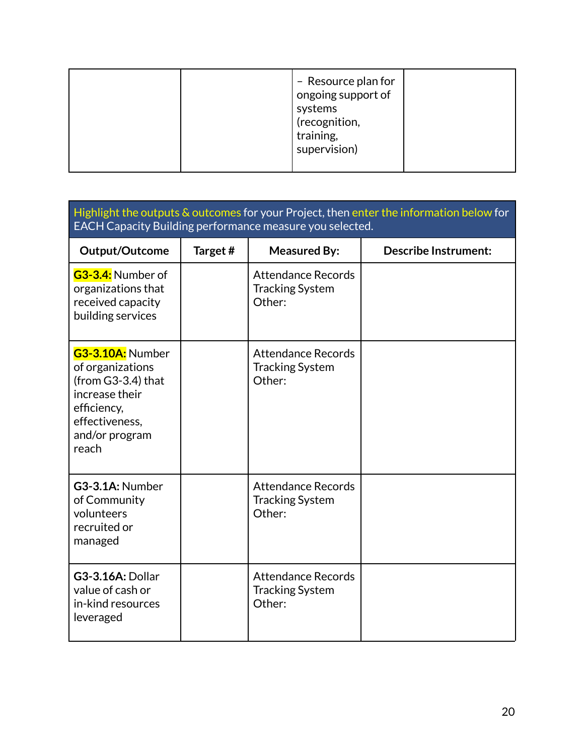|  | - Resource plan for<br>ongoing support of<br>systems<br>(recognition,<br>training,<br>supervision) |  |
|--|----------------------------------------------------------------------------------------------------|--|
|  |                                                                                                    |  |

### Highlight the outputs & outcomes for your Project, then enter the information below for EACH Capacity Building performance measure you selected.

| Output/Outcome                                                                                                                                     | Target# | <b>Measured By:</b>                                           | <b>Describe Instrument:</b> |
|----------------------------------------------------------------------------------------------------------------------------------------------------|---------|---------------------------------------------------------------|-----------------------------|
| G3-3.4: Number of<br>organizations that<br>received capacity<br>building services                                                                  |         | <b>Attendance Records</b><br><b>Tracking System</b><br>Other: |                             |
| <b>G3-3.10A: Number</b><br>of organizations<br>(from $G3-3.4$ ) that<br>increase their<br>efficiency,<br>effectiveness.<br>and/or program<br>reach |         | <b>Attendance Records</b><br><b>Tracking System</b><br>Other: |                             |
| G3-3.1A: Number<br>of Community<br>volunteers<br>recruited or<br>managed                                                                           |         | <b>Attendance Records</b><br><b>Tracking System</b><br>Other: |                             |
| <b>G3-3.16A: Dollar</b><br>value of cash or<br>in-kind resources<br>leveraged                                                                      |         | <b>Attendance Records</b><br><b>Tracking System</b><br>Other: |                             |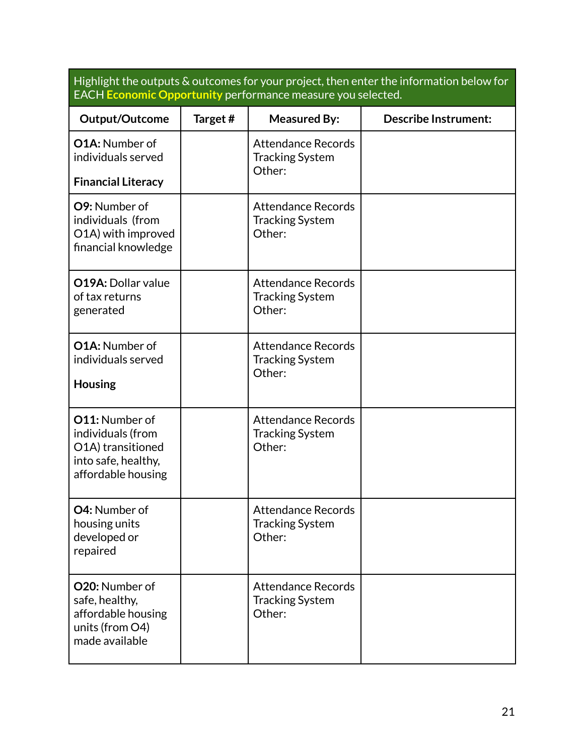Highlight the outputs & outcomes for your project, then enter the information below for EACH **Economic Opportunity** performance measure you selected.

| Output/Outcome                                                                                               | Target# | <b>Measured By:</b>                                           | <b>Describe Instrument:</b> |
|--------------------------------------------------------------------------------------------------------------|---------|---------------------------------------------------------------|-----------------------------|
| <b>O1A: Number of</b><br>individuals served                                                                  |         | <b>Attendance Records</b><br><b>Tracking System</b><br>Other: |                             |
| <b>Financial Literacy</b>                                                                                    |         |                                                               |                             |
| O9: Number of<br>individuals (from<br>O1A) with improved<br>financial knowledge                              |         | <b>Attendance Records</b><br><b>Tracking System</b><br>Other: |                             |
| <b>O19A: Dollar value</b><br>of tax returns<br>generated                                                     |         | <b>Attendance Records</b><br><b>Tracking System</b><br>Other: |                             |
| O1A: Number of<br>individuals served<br><b>Housing</b>                                                       |         | <b>Attendance Records</b><br><b>Tracking System</b><br>Other: |                             |
| <b>O11: Number of</b><br>individuals (from<br>O1A) transitioned<br>into safe, healthy,<br>affordable housing |         | <b>Attendance Records</b><br><b>Tracking System</b><br>Other: |                             |
| O4: Number of<br>housing units<br>developed or<br>repaired                                                   |         | <b>Attendance Records</b><br><b>Tracking System</b><br>Other: |                             |
| O20: Number of<br>safe, healthy,<br>affordable housing<br>units (from O4)<br>made available                  |         | <b>Attendance Records</b><br><b>Tracking System</b><br>Other: |                             |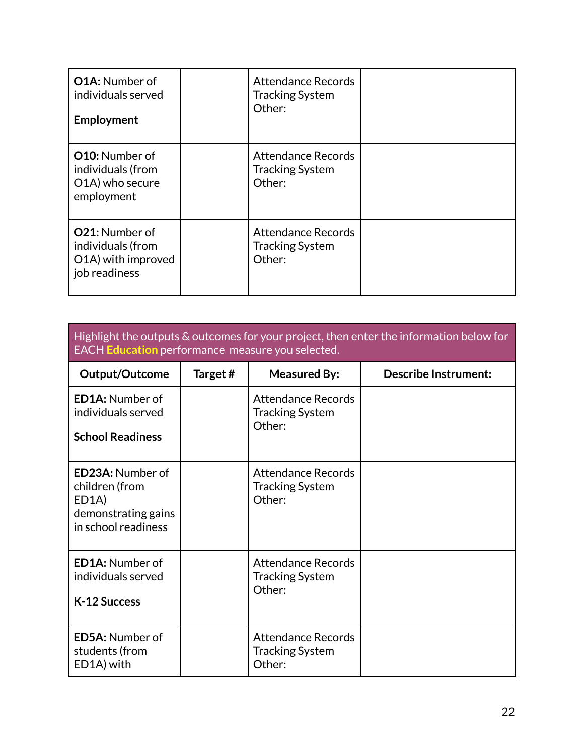| <b>O1A: Number of</b><br>individuals served<br>Employment                         | <b>Attendance Records</b><br><b>Tracking System</b><br>Other: |  |
|-----------------------------------------------------------------------------------|---------------------------------------------------------------|--|
| <b>O10:</b> Number of<br>individuals (from<br>O1A) who secure<br>employment       | <b>Attendance Records</b><br><b>Tracking System</b><br>Other: |  |
| <b>O21:</b> Number of<br>individuals (from<br>O1A) with improved<br>job readiness | <b>Attendance Records</b><br><b>Tracking System</b><br>Other: |  |

| Highlight the outputs & outcomes for your project, then enter the information below for |
|-----------------------------------------------------------------------------------------|
| <b>EACH Education</b> performance measure you selected.                                 |

| <b>Output/Outcome</b>                                                                                         | Target# | <b>Measured By:</b>                                           | <b>Describe Instrument:</b> |
|---------------------------------------------------------------------------------------------------------------|---------|---------------------------------------------------------------|-----------------------------|
| <b>ED1A: Number of</b><br>individuals served<br><b>School Readiness</b>                                       |         | <b>Attendance Records</b><br><b>Tracking System</b><br>Other: |                             |
| <b>ED23A: Number of</b><br>children (from<br>ED <sub>1</sub> A)<br>demonstrating gains<br>in school readiness |         | <b>Attendance Records</b><br><b>Tracking System</b><br>Other: |                             |
| <b>ED1A: Number of</b><br>individuals served<br>K-12 Success                                                  |         | <b>Attendance Records</b><br><b>Tracking System</b><br>Other: |                             |
| <b>ED5A: Number of</b><br>students (from<br>ED1A) with                                                        |         | <b>Attendance Records</b><br><b>Tracking System</b><br>Other: |                             |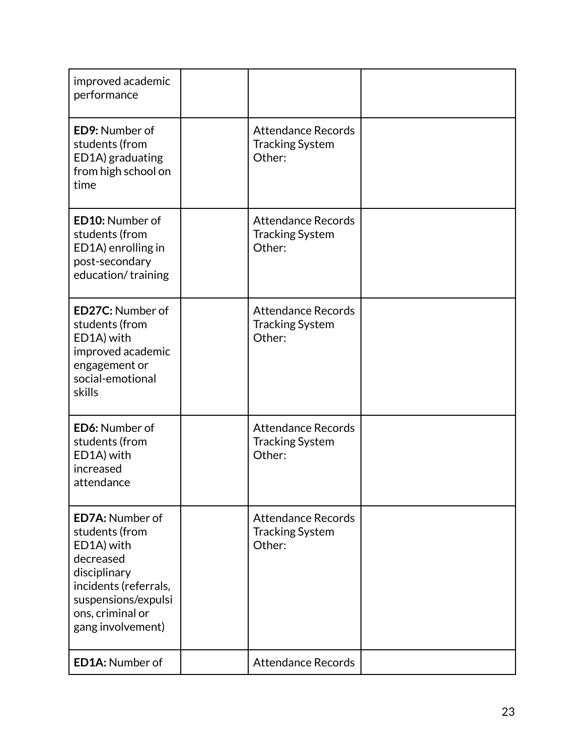| improved academic<br>performance                                                                                                                                             |                                                               |  |
|------------------------------------------------------------------------------------------------------------------------------------------------------------------------------|---------------------------------------------------------------|--|
| <b>ED9: Number of</b><br>students (from<br>ED1A) graduating<br>from high school on<br>time                                                                                   | <b>Attendance Records</b><br><b>Tracking System</b><br>Other: |  |
| <b>ED10: Number of</b><br>students (from<br>ED1A) enrolling in<br>post-secondary<br>education/training                                                                       | <b>Attendance Records</b><br><b>Tracking System</b><br>Other: |  |
| <b>ED27C: Number of</b><br>students (from<br>ED1A) with<br>improved academic<br>engagement or<br>social-emotional<br>skills                                                  | <b>Attendance Records</b><br><b>Tracking System</b><br>Other: |  |
| <b>ED6: Number of</b><br>students (from<br>ED1A) with<br>increased<br>attendance                                                                                             | <b>Attendance Records</b><br><b>Tracking System</b><br>Other: |  |
| <b>ED7A: Number of</b><br>students (from<br>ED1A) with<br>decreased<br>disciplinary<br>incidents (referrals,<br>suspensions/expulsi<br>ons, criminal or<br>gang involvement) | <b>Attendance Records</b><br><b>Tracking System</b><br>Other: |  |
| <b>ED1A: Number of</b>                                                                                                                                                       | <b>Attendance Records</b>                                     |  |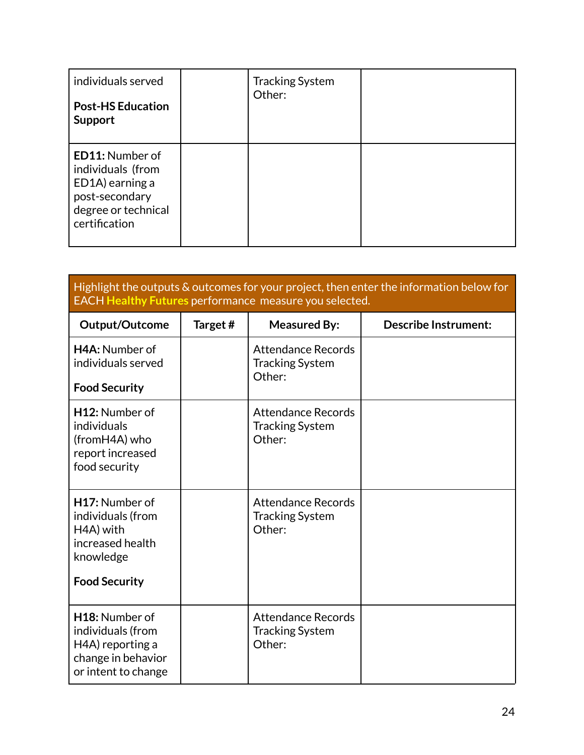| individuals served<br><b>Post-HS Education</b><br><b>Support</b>                                                         | <b>Tracking System</b><br>Other: |  |
|--------------------------------------------------------------------------------------------------------------------------|----------------------------------|--|
| <b>ED11: Number of</b><br>individuals (from<br>ED1A) earning a<br>post-secondary<br>degree or technical<br>certification |                                  |  |

#### Highlight the outputs & outcomes for your project, then enter the information below for EACH **Healthy Futures** performance measure you selected.

| Output/Outcome                                                                                            | Target# | <b>Measured By:</b>                                           | <b>Describe Instrument:</b> |
|-----------------------------------------------------------------------------------------------------------|---------|---------------------------------------------------------------|-----------------------------|
| H4A: Number of<br>individuals served                                                                      |         | <b>Attendance Records</b><br><b>Tracking System</b><br>Other: |                             |
| <b>Food Security</b>                                                                                      |         |                                                               |                             |
| H <sub>12</sub> : Number of<br>individuals<br>(fromH4A) who<br>report increased<br>food security          |         | <b>Attendance Records</b><br><b>Tracking System</b><br>Other: |                             |
| H17: Number of<br>individuals (from<br>H4A) with<br>increased health<br>knowledge<br><b>Food Security</b> |         | <b>Attendance Records</b><br><b>Tracking System</b><br>Other: |                             |
| H18: Number of<br>individuals (from<br>H4A) reporting a<br>change in behavior<br>or intent to change      |         | <b>Attendance Records</b><br><b>Tracking System</b><br>Other: |                             |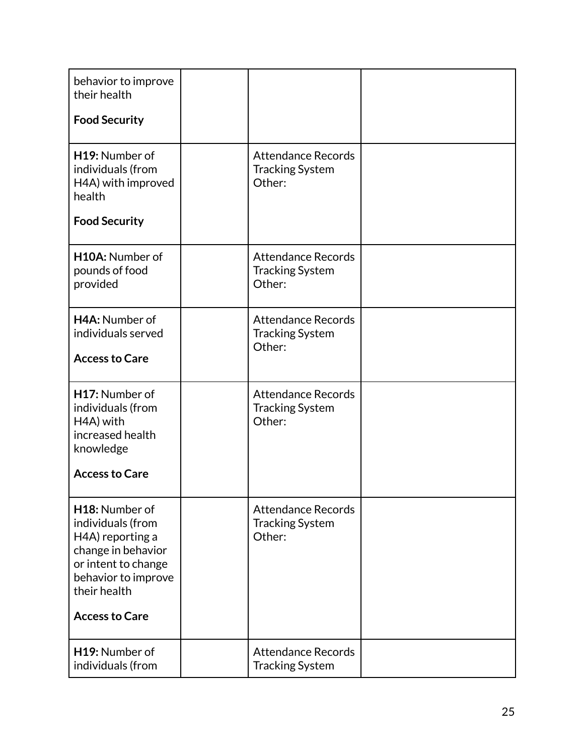| behavior to improve<br>their health<br><b>Food Security</b>                                                                                                          |                                                               |  |
|----------------------------------------------------------------------------------------------------------------------------------------------------------------------|---------------------------------------------------------------|--|
| H19: Number of<br>individuals (from<br>H4A) with improved<br>health<br><b>Food Security</b>                                                                          | <b>Attendance Records</b><br><b>Tracking System</b><br>Other: |  |
| H10A: Number of<br>pounds of food<br>provided                                                                                                                        | <b>Attendance Records</b><br><b>Tracking System</b><br>Other: |  |
| H4A: Number of<br>individuals served<br><b>Access to Care</b>                                                                                                        | <b>Attendance Records</b><br><b>Tracking System</b><br>Other: |  |
| H17: Number of<br>individuals (from<br>H4A) with<br>increased health<br>knowledge<br><b>Access to Care</b>                                                           | <b>Attendance Records</b><br><b>Tracking System</b><br>Other: |  |
| H18: Number of<br>individuals (from<br>H4A) reporting a<br>change in behavior<br>or intent to change<br>behavior to improve<br>their health<br><b>Access to Care</b> | <b>Attendance Records</b><br><b>Tracking System</b><br>Other: |  |
| H19: Number of<br>individuals (from                                                                                                                                  | <b>Attendance Records</b><br><b>Tracking System</b>           |  |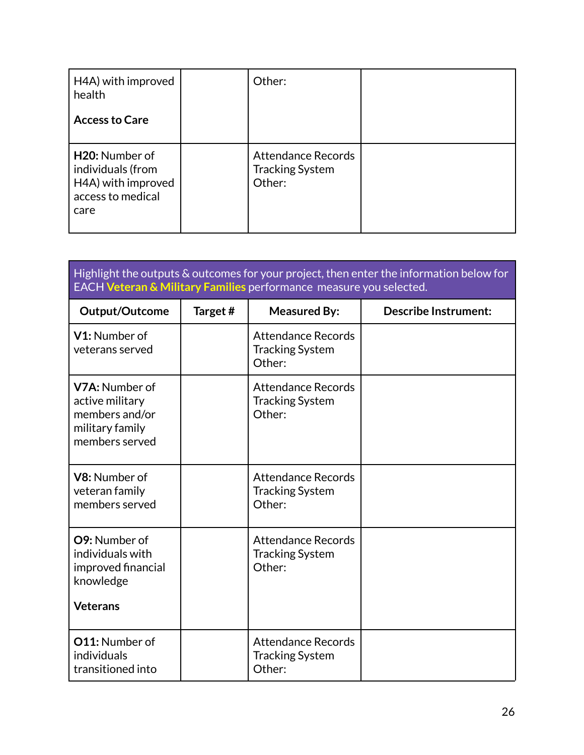| H4A) with improved<br>health<br><b>Access to Care</b>                                               | Other:                                                        |  |
|-----------------------------------------------------------------------------------------------------|---------------------------------------------------------------|--|
| H <sub>20</sub> : Number of<br>individuals (from<br>H4A) with improved<br>access to medical<br>care | <b>Attendance Records</b><br><b>Tracking System</b><br>Other: |  |

| Highlight the outputs & outcomes for your project, then enter the information below for<br>EACH Veteran & Military Families performance measure you selected. |         |                                                               |                             |
|---------------------------------------------------------------------------------------------------------------------------------------------------------------|---------|---------------------------------------------------------------|-----------------------------|
| Output/Outcome                                                                                                                                                | Target# | <b>Measured By:</b>                                           | <b>Describe Instrument:</b> |
| V1: Number of<br>veterans served                                                                                                                              |         | <b>Attendance Records</b><br><b>Tracking System</b><br>Other: |                             |
| V7A: Number of<br>active military<br>members and/or<br>military family<br>members served                                                                      |         | <b>Attendance Records</b><br><b>Tracking System</b><br>Other: |                             |
| V8: Number of<br>veteran family<br>members served                                                                                                             |         | <b>Attendance Records</b><br><b>Tracking System</b><br>Other: |                             |
| O9: Number of<br>individuals with<br>improved financial<br>knowledge<br><b>Veterans</b>                                                                       |         | <b>Attendance Records</b><br><b>Tracking System</b><br>Other: |                             |
| <b>O11: Number of</b><br>individuals<br>transitioned into                                                                                                     |         | <b>Attendance Records</b><br><b>Tracking System</b><br>Other: |                             |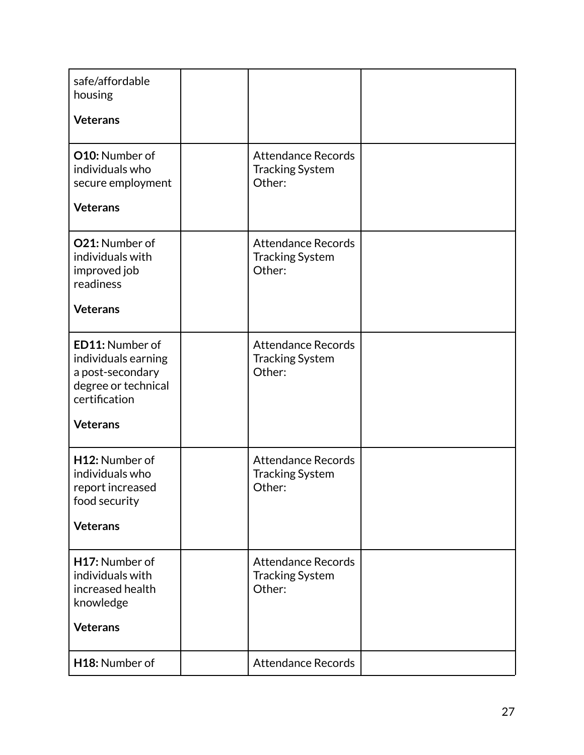| safe/affordable<br>housing                                                                                            |                                                               |  |
|-----------------------------------------------------------------------------------------------------------------------|---------------------------------------------------------------|--|
| <b>Veterans</b>                                                                                                       |                                                               |  |
| O10: Number of<br>individuals who<br>secure employment<br><b>Veterans</b>                                             | <b>Attendance Records</b><br><b>Tracking System</b><br>Other: |  |
| O21: Number of<br>individuals with<br>improved job<br>readiness<br><b>Veterans</b>                                    | <b>Attendance Records</b><br><b>Tracking System</b><br>Other: |  |
| ED11: Number of<br>individuals earning<br>a post-secondary<br>degree or technical<br>certification<br><b>Veterans</b> | <b>Attendance Records</b><br><b>Tracking System</b><br>Other: |  |
| H12: Number of<br>individuals who<br>report increased<br>food security<br><b>Veterans</b>                             | <b>Attendance Records</b><br><b>Tracking System</b><br>Other: |  |
| H17: Number of<br>individuals with<br>increased health<br>knowledge<br><b>Veterans</b>                                | <b>Attendance Records</b><br><b>Tracking System</b><br>Other: |  |
| H18: Number of                                                                                                        | <b>Attendance Records</b>                                     |  |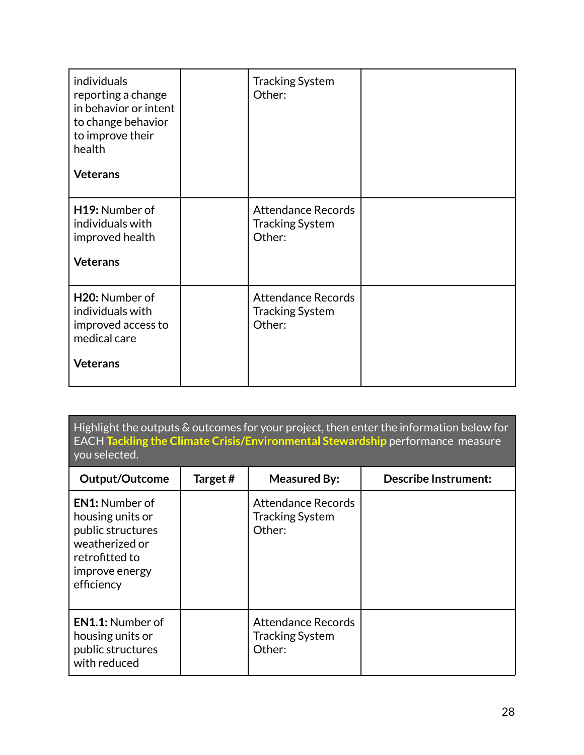| individuals<br>reporting a change<br>in behavior or intent<br>to change behavior<br>to improve their<br>health<br><b>Veterans</b> | <b>Tracking System</b><br>Other:                              |  |
|-----------------------------------------------------------------------------------------------------------------------------------|---------------------------------------------------------------|--|
| H19: Number of<br>individuals with<br>improved health<br><b>Veterans</b>                                                          | <b>Attendance Records</b><br><b>Tracking System</b><br>Other: |  |
| H20: Number of<br>individuals with<br>improved access to<br>medical care<br><b>Veterans</b>                                       | <b>Attendance Records</b><br><b>Tracking System</b><br>Other: |  |

Highlight the outputs & outcomes for your project, then enter the information below for EACH **Tackling the Climate Crisis/Environmental Stewardship** performance measure you selected.

| Output/Outcome                                                                                                                     | Target# | <b>Measured By:</b>                                    | <b>Describe Instrument:</b> |
|------------------------------------------------------------------------------------------------------------------------------------|---------|--------------------------------------------------------|-----------------------------|
| <b>EN1:</b> Number of<br>housing units or<br>public structures<br>weatherized or<br>retrofitted to<br>improve energy<br>efficiency |         | Attendance Records<br><b>Tracking System</b><br>Other: |                             |
| <b>EN1.1:</b> Number of<br>housing units or<br>public structures<br>with reduced                                                   |         | Attendance Records<br><b>Tracking System</b><br>Other: |                             |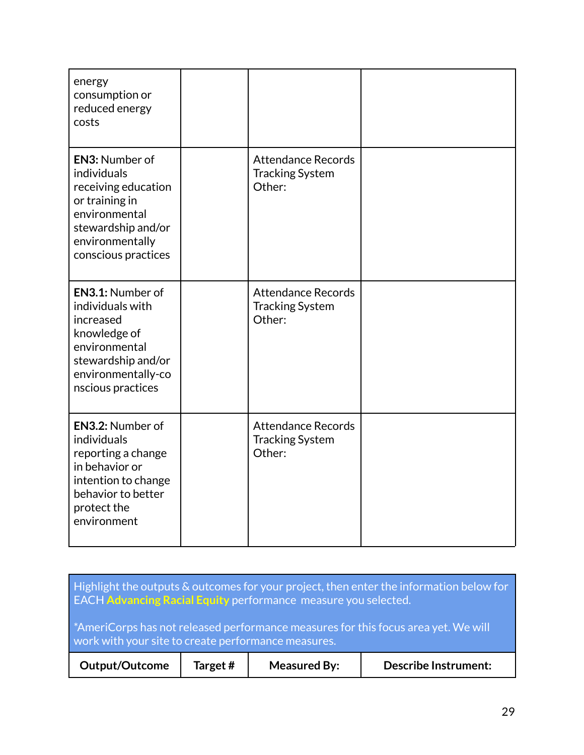| energy<br>consumption or<br>reduced energy<br>costs                                                                                                            |                                                               |  |
|----------------------------------------------------------------------------------------------------------------------------------------------------------------|---------------------------------------------------------------|--|
| <b>EN3: Number of</b><br>individuals<br>receiving education<br>or training in<br>environmental<br>stewardship and/or<br>environmentally<br>conscious practices | <b>Attendance Records</b><br><b>Tracking System</b><br>Other: |  |
| EN3.1: Number of<br>individuals with<br>increased<br>knowledge of<br>environmental<br>stewardship and/or<br>environmentally-co<br>nscious practices            | <b>Attendance Records</b><br><b>Tracking System</b><br>Other: |  |
| EN3.2: Number of<br>individuals<br>reporting a change<br>in behavior or<br>intention to change<br>behavior to better<br>protect the<br>environment             | <b>Attendance Records</b><br><b>Tracking System</b><br>Other: |  |

| Highlight the outputs $\&$ outcomes for your project, then enter the information below for<br><b>EACH Advancing Racial Equity performance measure you selected.</b> |         |                     |                             |  |  |
|---------------------------------------------------------------------------------------------------------------------------------------------------------------------|---------|---------------------|-----------------------------|--|--|
| <sup>*</sup> AmeriCorps has not released performance measures for this focus area yet. We will<br>work with your site to create performance measures.               |         |                     |                             |  |  |
| <b>Output/Outcome</b>                                                                                                                                               | Target# | <b>Measured By:</b> | <b>Describe Instrument:</b> |  |  |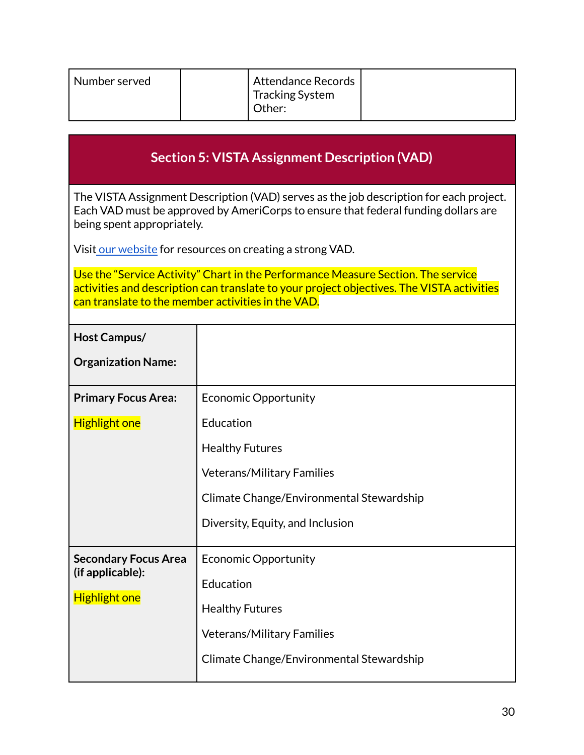| <b>Section 5: VISTA Assignment Description (VAD)</b> |  |  |
|------------------------------------------------------|--|--|
|                                                      |  |  |

The VISTA Assignment Description (VAD) serves as the job description for each project. Each VAD must be approved by AmeriCorps to ensure that federal funding dollars are being spent appropriately.

Visit our [website](http://www.compactnypa.org/americorps-vista.html) for resources on creating a strong VAD.

Use the "Service Activity" Chart in the Performance Measure Section. The service activities and description can translate to your project objectives. The VISTA activities can translate to the member activities in the VAD.

| <b>Economic Opportunity</b>              |
|------------------------------------------|
| Education                                |
| <b>Healthy Futures</b>                   |
| <b>Veterans/Military Families</b>        |
| Climate Change/Environmental Stewardship |
| Diversity, Equity, and Inclusion         |
| <b>Economic Opportunity</b>              |
| Education                                |
| <b>Healthy Futures</b>                   |
| <b>Veterans/Military Families</b>        |
| Climate Change/Environmental Stewardship |
|                                          |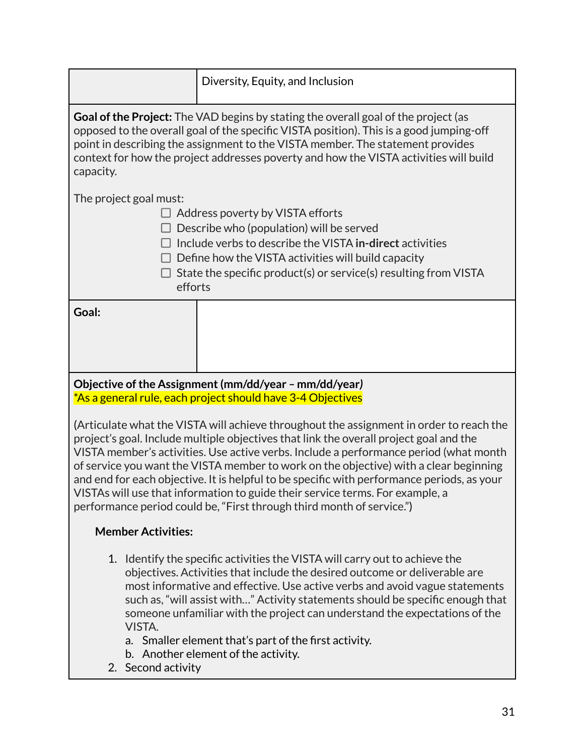|                                                                                                                                                                                                                                                                                                                                                                                                                                                                                                                                                                                                                             | Diversity, Equity, and Inclusion                                                                                                                                                                                                                                           |  |  |  |
|-----------------------------------------------------------------------------------------------------------------------------------------------------------------------------------------------------------------------------------------------------------------------------------------------------------------------------------------------------------------------------------------------------------------------------------------------------------------------------------------------------------------------------------------------------------------------------------------------------------------------------|----------------------------------------------------------------------------------------------------------------------------------------------------------------------------------------------------------------------------------------------------------------------------|--|--|--|
| Goal of the Project: The VAD begins by stating the overall goal of the project (as<br>opposed to the overall goal of the specific VISTA position). This is a good jumping-off<br>point in describing the assignment to the VISTA member. The statement provides<br>context for how the project addresses poverty and how the VISTA activities will build<br>capacity.                                                                                                                                                                                                                                                       |                                                                                                                                                                                                                                                                            |  |  |  |
| The project goal must:<br>efforts                                                                                                                                                                                                                                                                                                                                                                                                                                                                                                                                                                                           | $\Box$ Address poverty by VISTA efforts<br>Describe who (population) will be served<br>Include verbs to describe the VISTA in-direct activities<br>Define how the VISTA activities will build capacity<br>State the specific product(s) or service(s) resulting from VISTA |  |  |  |
| Goal:                                                                                                                                                                                                                                                                                                                                                                                                                                                                                                                                                                                                                       |                                                                                                                                                                                                                                                                            |  |  |  |
| Objective of the Assignment (mm/dd/year - mm/dd/year)<br>*As a general rule, each project should have 3-4 Objectives                                                                                                                                                                                                                                                                                                                                                                                                                                                                                                        |                                                                                                                                                                                                                                                                            |  |  |  |
| (Articulate what the VISTA will achieve throughout the assignment in order to reach the<br>project's goal. Include multiple objectives that link the overall project goal and the<br>VISTA member's activities. Use active verbs. Include a performance period (what month<br>of service you want the VISTA member to work on the objective) with a clear beginning<br>and end for each objective. It is helpful to be specific with performance periods, as your<br>VISTAs will use that information to guide their service terms. For example, a<br>performance period could be, "First through third month of service.") |                                                                                                                                                                                                                                                                            |  |  |  |
| <b>Member Activities:</b>                                                                                                                                                                                                                                                                                                                                                                                                                                                                                                                                                                                                   |                                                                                                                                                                                                                                                                            |  |  |  |
| 1. Identify the specific activities the VISTA will carry out to achieve the                                                                                                                                                                                                                                                                                                                                                                                                                                                                                                                                                 |                                                                                                                                                                                                                                                                            |  |  |  |

- objectives. Activities that include the desired outcome or deliverable are most informative and effective. Use active verbs and avoid vague statements such as, "will assist with…" Activity statements should be specific enough that someone unfamiliar with the project can understand the expectations of the VISTA.
	- a. Smaller element that's part of the first activity.
	- b. Another element of the activity.
- 2. Second activity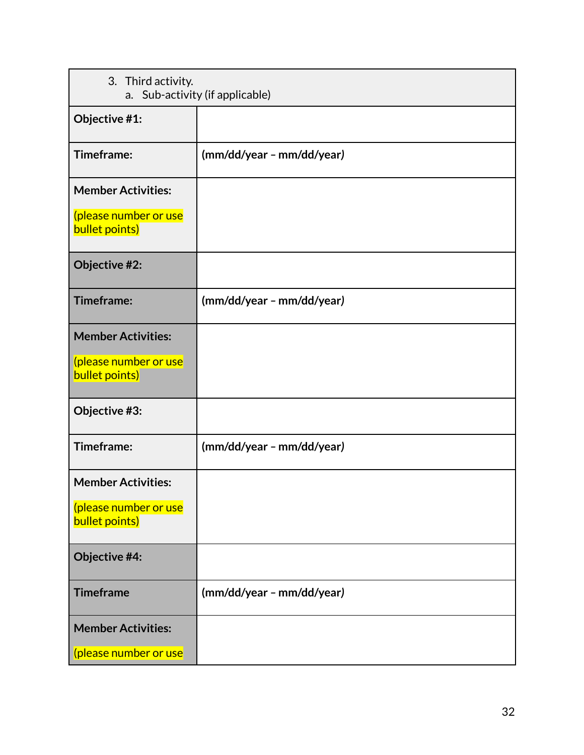| 3. Third activity.<br>a. Sub-activity (if applicable) |                           |  |
|-------------------------------------------------------|---------------------------|--|
| Objective #1:                                         |                           |  |
| Timeframe:                                            | (mm/dd/year - mm/dd/year) |  |
| <b>Member Activities:</b>                             |                           |  |
| (please number or use<br>bullet points)               |                           |  |
| Objective #2:                                         |                           |  |
| Timeframe:                                            | (mm/dd/year - mm/dd/year) |  |
| <b>Member Activities:</b>                             |                           |  |
| (please number or use<br>bullet points)               |                           |  |
| Objective #3:                                         |                           |  |
| Timeframe:                                            | (mm/dd/year - mm/dd/year) |  |
| <b>Member Activities:</b>                             |                           |  |
| (please number or use<br>bullet points)               |                           |  |
| Objective #4:                                         |                           |  |
| <b>Timeframe</b>                                      | (mm/dd/year - mm/dd/year) |  |
| <b>Member Activities:</b>                             |                           |  |
| (please number or use                                 |                           |  |